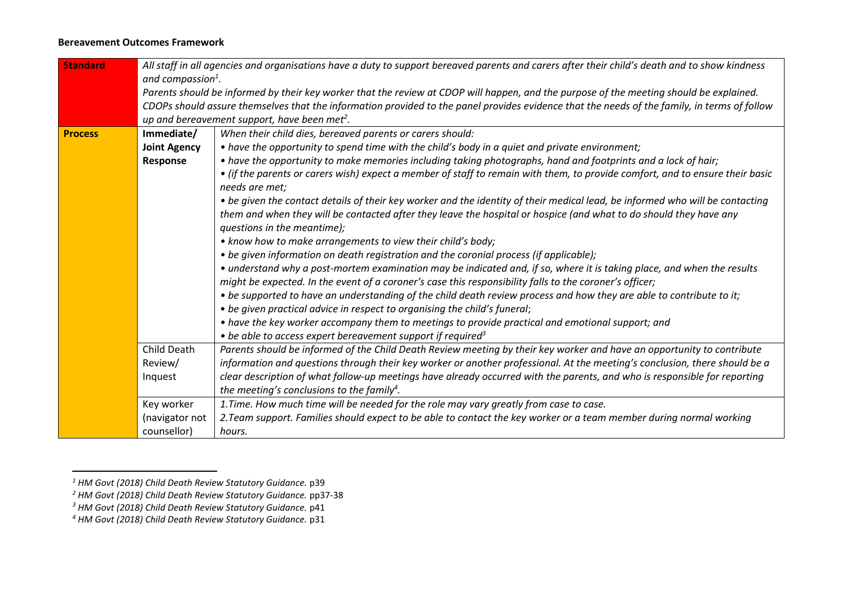## **Bereavement Outcomes Framework**

| <b>Standard</b> | All staff in all agencies and organisations have a duty to support bereaved parents and carers after their child's death and to show kindness                                                                                                                                  |                                                                                                                               |  |  |  |
|-----------------|--------------------------------------------------------------------------------------------------------------------------------------------------------------------------------------------------------------------------------------------------------------------------------|-------------------------------------------------------------------------------------------------------------------------------|--|--|--|
|                 | and compassion $^1$ .                                                                                                                                                                                                                                                          |                                                                                                                               |  |  |  |
|                 | Parents should be informed by their key worker that the review at CDOP will happen, and the purpose of the meeting should be explained.                                                                                                                                        |                                                                                                                               |  |  |  |
|                 | CDOPs should assure themselves that the information provided to the panel provides evidence that the needs of the family, in terms of follow                                                                                                                                   |                                                                                                                               |  |  |  |
|                 | up and bereavement support, have been met <sup>2</sup> .                                                                                                                                                                                                                       |                                                                                                                               |  |  |  |
| <b>Process</b>  | Immediate/                                                                                                                                                                                                                                                                     | When their child dies, bereaved parents or carers should:                                                                     |  |  |  |
|                 | <b>Joint Agency</b>                                                                                                                                                                                                                                                            | • have the opportunity to spend time with the child's body in a quiet and private environment;                                |  |  |  |
|                 | Response                                                                                                                                                                                                                                                                       | • have the opportunity to make memories including taking photographs, hand and footprints and a lock of hair;                 |  |  |  |
|                 |                                                                                                                                                                                                                                                                                | • (if the parents or carers wish) expect a member of staff to remain with them, to provide comfort, and to ensure their basic |  |  |  |
|                 | needs are met;                                                                                                                                                                                                                                                                 |                                                                                                                               |  |  |  |
|                 |                                                                                                                                                                                                                                                                                | • be given the contact details of their key worker and the identity of their medical lead, be informed who will be contacting |  |  |  |
|                 |                                                                                                                                                                                                                                                                                | them and when they will be contacted after they leave the hospital or hospice (and what to do should they have any            |  |  |  |
|                 |                                                                                                                                                                                                                                                                                | questions in the meantime);                                                                                                   |  |  |  |
|                 |                                                                                                                                                                                                                                                                                | • know how to make arrangements to view their child's body;                                                                   |  |  |  |
|                 |                                                                                                                                                                                                                                                                                | • be given information on death registration and the coronial process (if applicable);                                        |  |  |  |
|                 |                                                                                                                                                                                                                                                                                | • understand why a post-mortem examination may be indicated and, if so, where it is taking place, and when the results        |  |  |  |
|                 |                                                                                                                                                                                                                                                                                | might be expected. In the event of a coroner's case this responsibility falls to the coroner's officer;                       |  |  |  |
|                 |                                                                                                                                                                                                                                                                                | • be supported to have an understanding of the child death review process and how they are able to contribute to it;          |  |  |  |
|                 |                                                                                                                                                                                                                                                                                | • be given practical advice in respect to organising the child's funeral;                                                     |  |  |  |
|                 |                                                                                                                                                                                                                                                                                | • have the key worker accompany them to meetings to provide practical and emotional support; and                              |  |  |  |
|                 |                                                                                                                                                                                                                                                                                | $\bullet$ be able to access expert bereavement support if required <sup>3</sup>                                               |  |  |  |
|                 | Child Death<br>Parents should be informed of the Child Death Review meeting by their key worker and have an opportunity to contribute<br>information and questions through their key worker or another professional. At the meeting's conclusion, there should be a<br>Review/ |                                                                                                                               |  |  |  |
|                 |                                                                                                                                                                                                                                                                                |                                                                                                                               |  |  |  |
|                 | Inquest                                                                                                                                                                                                                                                                        | clear description of what follow-up meetings have already occurred with the parents, and who is responsible for reporting     |  |  |  |
|                 |                                                                                                                                                                                                                                                                                | the meeting's conclusions to the family <sup>4</sup> .                                                                        |  |  |  |
|                 | 1. Time. How much time will be needed for the role may vary greatly from case to case.<br>Key worker                                                                                                                                                                           |                                                                                                                               |  |  |  |
|                 | (navigator not                                                                                                                                                                                                                                                                 | 2. Team support. Families should expect to be able to contact the key worker or a team member during normal working           |  |  |  |
|                 | counsellor)                                                                                                                                                                                                                                                                    | hours.                                                                                                                        |  |  |  |

*<sup>1</sup> HM Govt (2018) Child Death Review Statutory Guidance.* p39

*<sup>2</sup> HM Govt (2018) Child Death Review Statutory Guidance.* pp37-38

<sup>&</sup>lt;sup>3</sup> HM Govt (2018) Child Death Review Statutory Guidance. p41

*<sup>4</sup> HM Govt (2018) Child Death Review Statutory Guidance.* p31